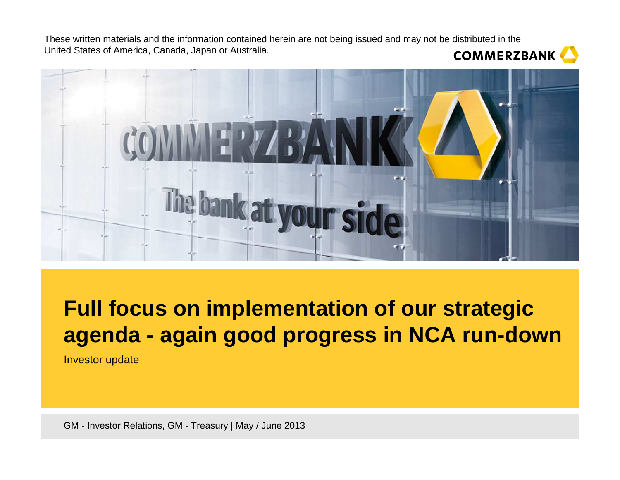

# **Full focus on implementation of our strategic agenda - again good progress in NCA run-down**

Investor update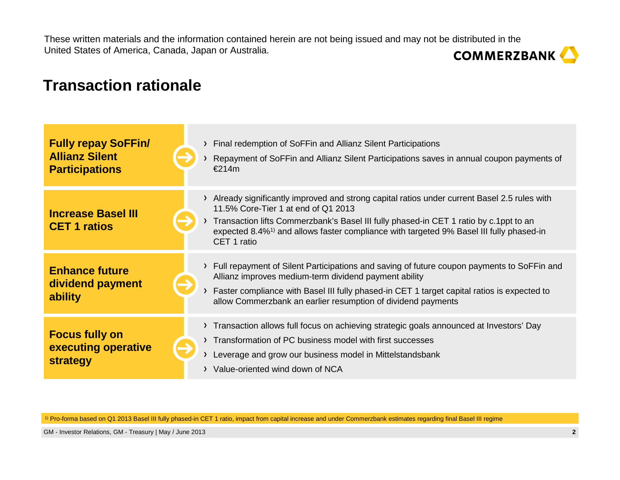### **Transaction rationale**

| <b>Fully repay SoFFin/</b><br><b>Allianz Silent</b><br><b>Participations</b> |  | > Final redemption of SoFFin and Allianz Silent Participations<br>Repayment of SoFFin and Allianz Silent Participations saves in annual coupon payments of<br>€214m                                                                                                                                                                                 |
|------------------------------------------------------------------------------|--|-----------------------------------------------------------------------------------------------------------------------------------------------------------------------------------------------------------------------------------------------------------------------------------------------------------------------------------------------------|
| <b>Increase Basel III</b><br><b>CET 1 ratios</b>                             |  | > Already significantly improved and strong capital ratios under current Basel 2.5 rules with<br>11.5% Core-Tier 1 at end of Q1 2013<br>Transaction lifts Commerzbank's Basel III fully phased-in CET 1 ratio by c.1ppt to an<br>expected 8.4% <sup>1)</sup> and allows faster compliance with targeted 9% Basel III fully phased-in<br>CET 1 ratio |
| <b>Enhance future</b><br>dividend payment<br>ability                         |  | > Full repayment of Silent Participations and saving of future coupon payments to SoFFin and<br>Allianz improves medium-term dividend payment ability<br>Faster compliance with Basel III fully phased-in CET 1 target capital ratios is expected to<br>allow Commerzbank an earlier resumption of dividend payments                                |
| <b>Focus fully on</b><br>executing operative<br>strategy                     |  | > Transaction allows full focus on achieving strategic goals announced at Investors' Day<br>> Transformation of PC business model with first successes<br>Leverage and grow our business model in Mittelstandsbank<br>> Value-oriented wind down of NCA                                                                                             |

1) Pro-forma based on Q1 2013 Basel III fully phased-in CET 1 ratio, impact from capital increase and under Commerzbank estimates regarding final Basel III regime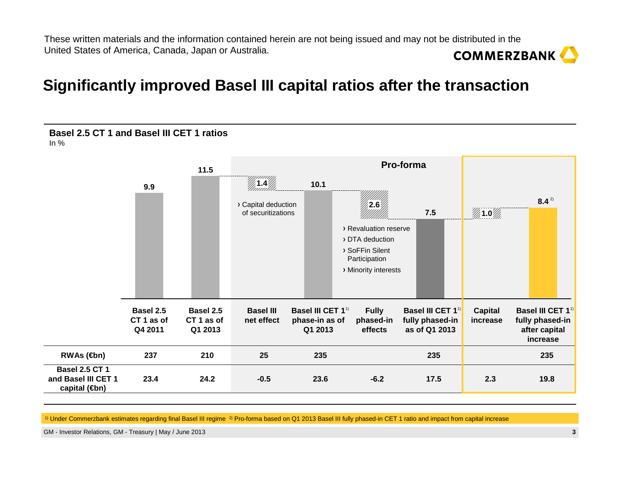### **Significantly improved Basel III capital ratios after the transaction**



<sup>1)</sup> Under Commerzbank estimates regarding final Basel III regime 2) Pro-forma based on Q1 2013 Basel III fully phased-in CET 1 ratio and impact from capital increase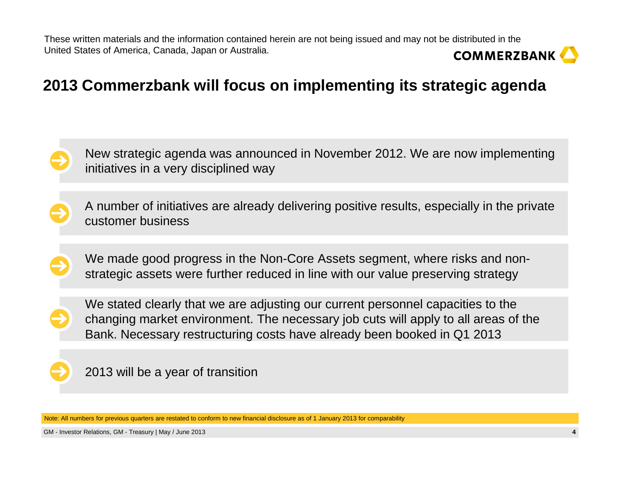# **COMMERZBANK**

# **2013 Commerzbank will focus on implementing its strategic agenda**



New strategic agenda was announced in November 2012. We are now implementing initiatives in a very disciplined way

A number of initiatives are already delivering positive results, especially in the private customer business

We made good progress in the Non-Core Assets segment, where risks and nonstrategic assets were further reduced in line with our value preserving strategy



We stated clearly that we are adjusting our current personnel capacities to the changing market environment. The necessary job cuts will apply to all areas of the Bank. Necessary restructuring costs have already been booked in Q1 2013



Note: All numbers for previous quarters are restated to conform to new financial disclosure as of 1 January 2013 for comparability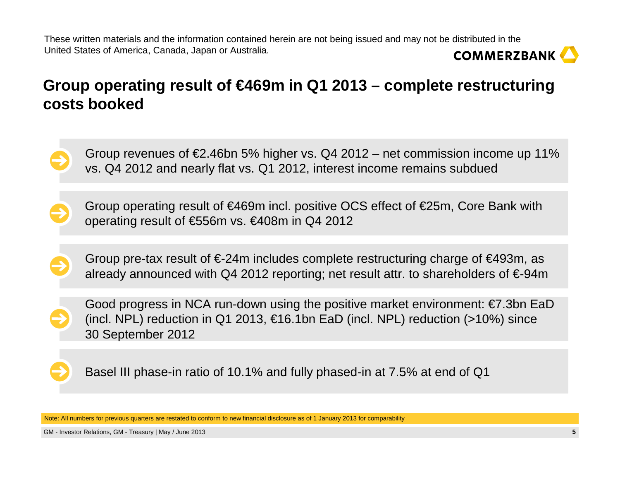

# **Group operating result of €469m in Q1 2013 – complete restructuring costs booked**

Group revenues of  $\epsilon$ 2.46bn 5% higher vs. Q4 2012 – net commission income up 11% vs. Q4 2012 and nearly flat vs. Q1 2012, interest income remains subdued

Group operating result of €469m incl. positive OCS effect of €25m, Core Bank with operating result of €556m vs. €408m in Q4 2012

Group pre-tax result of  $\epsilon$ -24m includes complete restructuring charge of  $\epsilon$ 493m, as already announced with Q4 2012 reporting; net result attr. to shareholders of €-94m

Good progress in NCA run-down using the positive market environment: €7.3bn EaD (incl. NPL) reduction in Q1 2013, €16.1bn EaD (incl. NPL) reduction (>10%) since 30 September 2012

Basel III phase-in ratio of 10.1% and fully phased-in at 7.5% at end of Q1

Note: All numbers for previous quarters are restated to conform to new financial disclosure as of 1 January 2013 for comparability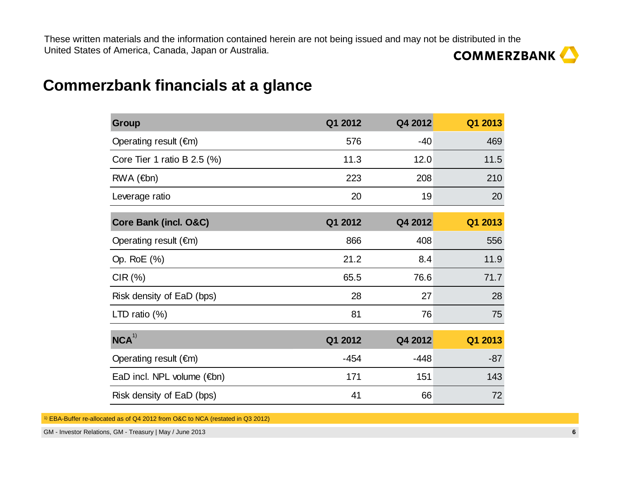

### **Commerzbank financials at a glance**

| <b>Group</b>                         | Q1 2012 | Q4 2012 | Q1 2013 |
|--------------------------------------|---------|---------|---------|
| Operating result $(\epsilon m)$      | 576     | $-40$   | 469     |
| Core Tier 1 ratio B $2.5$ (%)        | 11.3    | 12.0    | 11.5    |
| $RWA$ ( $\in$ bn)                    | 223     | 208     | 210     |
| Leverage ratio                       | 20      | 19      | 20      |
| Core Bank (incl. O&C)                | Q1 2012 | Q4 2012 | Q1 2013 |
| Operating result $(\epsilon m)$      | 866     | 408     | 556     |
| Op. RoE (%)                          | 21.2    | 8.4     | 11.9    |
| CIR(%)                               | 65.5    | 76.6    | 71.7    |
| Risk density of EaD (bps)            | 28      | 27      | 28      |
| LTD ratio $(\%)$                     | 81      | 76      | 75      |
| NCA <sup>1</sup>                     | Q1 2012 | Q4 2012 | Q1 2013 |
| Operating result $(\epsilon m)$      | $-454$  | $-448$  | $-87$   |
| EaD incl. NPL volume $(\epsilon$ bn) | 171     | 151     | 143     |
| Risk density of EaD (bps)            | 41      | 66      | 72      |

1) EBA-Buffer re-allocated as of Q4 2012 from O&C to NCA (restated in Q3 2012)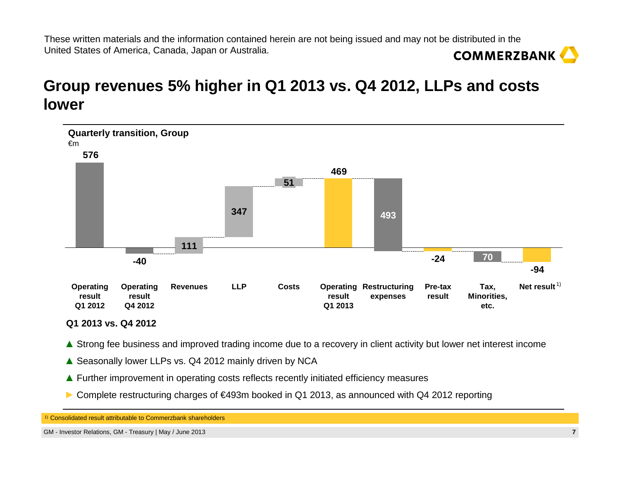# **Group revenues 5% higher in Q1 2013 vs. Q4 2012, LLPs and costs lower**



**Q1 2013 vs. Q4 2012**

- ▲ Strong fee business and improved trading income due to a recovery in client activity but lower net interest income
- **▲** Seasonally lower LLPs vs. Q4 2012 mainly driven by NCA
- **▲** Further improvement in operating costs reflects recently initiated efficiency measures
- **►** Complete restructuring charges of €493m booked in Q1 2013, as announced with Q4 2012 reporting

1) Consolidated result attributable to Commerzbank shareholders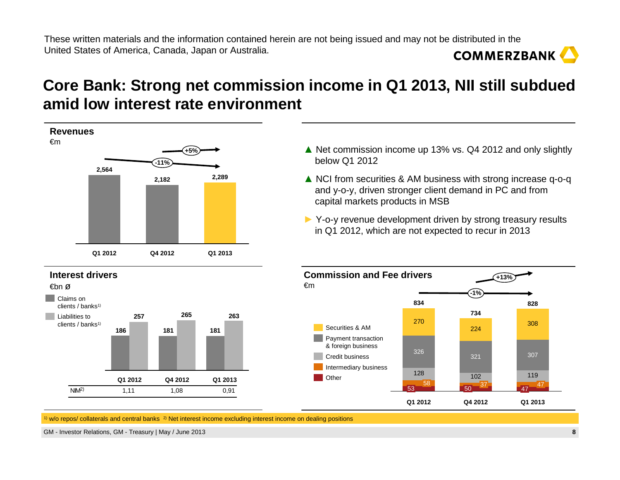# **Core Bank: Strong net commission income in Q1 2013, NII still subdued amid low interest rate environment**



- **▲** Net commission income up 13% vs. Q4 2012 and only slightly below Q1 2012
- **▲** NCI from securities & AM business with strong increase q-o-q and y-o-y, driven stronger client demand in PC and from capital markets products in MSB
- ► Y-o-y revenue development driven by strong treasury results<br>in O1.2012, which are not expected to recur in 2013 in Q1 2012, which are not expected to recur in 2013



 $\frac{1}{1}$  w/o repos/ collaterals and central banks  $\frac{2}{1}$  Net interest income excluding interest income on dealing positions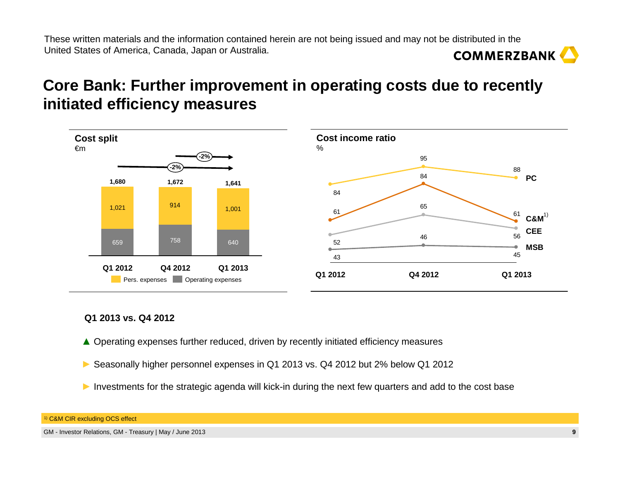# **Core Bank: Further improvement in operating costs due to recently initiated efficiency measures**



#### **Q1 2013 vs. Q4 2012**

- **▲** Operating expenses further reduced, driven by recently initiated efficiency measures
- **►** Seasonally higher personnel expenses in Q1 2013 vs. Q4 2012 but 2% below Q1 2012
- ► Investments for the strategic agenda will kick-in during the next few quarters and add to the cost base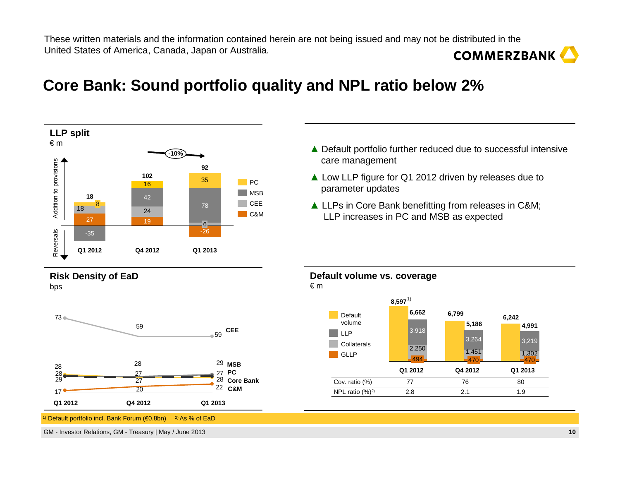## **Core Bank: Sound portfolio quality and NPL ratio below 2%**



1)Default portfolio incl. Bank Forum (€0.8bn)  $^{2}$  As % of EaD

GM - Investor Relations, GM - Treasury | May / June 2013

- **▲** Default portfolio further reduced due to successful intensive care management
- **▲** Low LLP figure for Q1 2012 driven by releases due to parameter updates
- **▲** LLPs in Core Bank benefitting from releases in C&M; LLP increases in PC and MSB as expected



**Default volume vs. coverage**€ <sup>m</sup>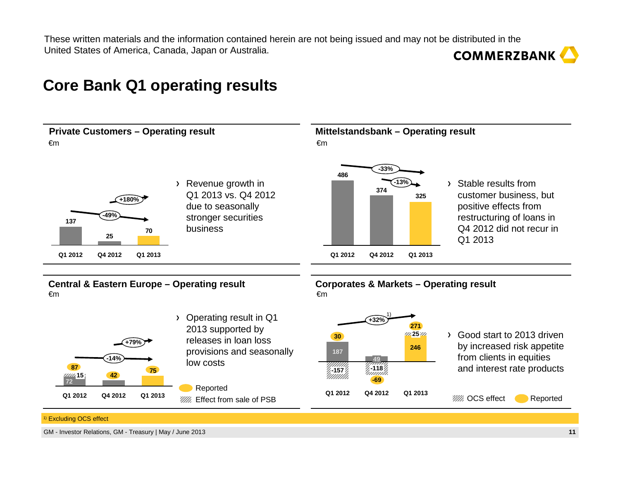### **COMMERZBANK**

### **Core Bank Q1 operating results**



1) Excluding OCS effect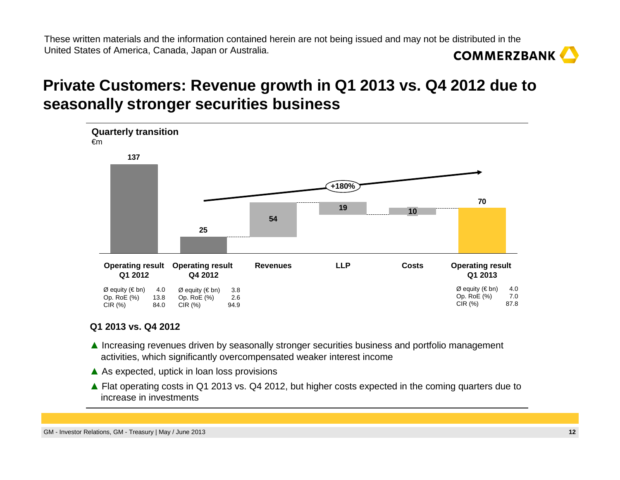# **Private Customers: Revenue growth in Q1 2013 vs. Q4 2012 due to seasonally stronger securities business**



- ▲ Increasing revenues driven by seasonally stronger securities business and portfolio management activities which significantly overcompensated weaker interest income activities, which significantly overcompensated weaker interest income
- ▲ As expected, uptick in loan loss provisions
- **▲** Flat operating costs in Q1 2013 vs. Q4 2012, but higher costs expected in the coming quarters due to increase in investments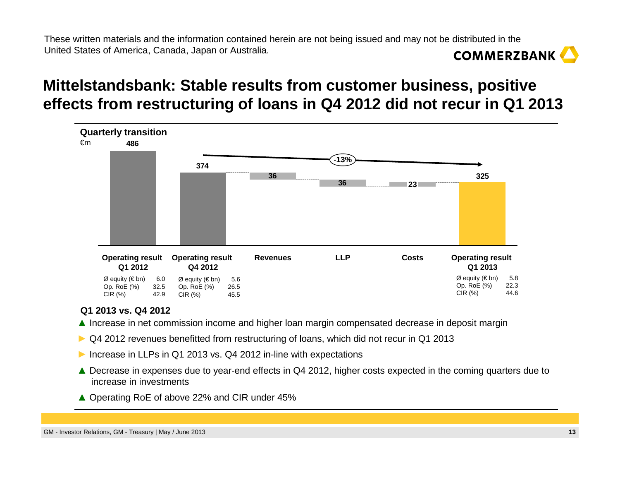# **Mittelstandsbank: Stable results from customer business, positive effects from restructuring of loans in Q4 2012 did not recur in Q1 2013**



- ▲ Increase in net commission income and higher loan margin compensated decrease in deposit margin
- ► Q4 2012 revenues benefitted from restructuring of loans, which did not recur in Q1 2013
- ► Increase in LLPs in Q1 2013 vs. Q4 2012 in-line with expectations
- ▲ Decrease in expenses due to year-end effects in Q4 2012, higher costs expected in the coming quarters due to increase in investments increase in investments
- ▲ Operating RoE of above 22% and CIR under 45%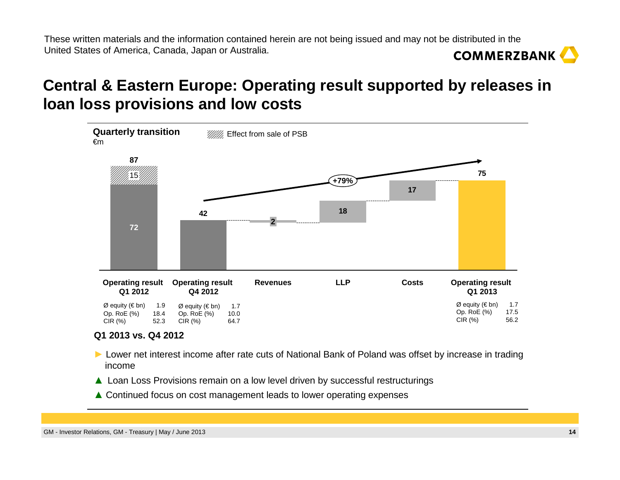# **Central & Eastern Europe: Operating result supported by releases in loan loss provisions and low costs**



- ► Lower net interest income after rate cuts of National Bank of Poland was offset by increase in trading<br>income income
- ▲ Loan Loss Provisions remain on a low level driven by successful restructurings<br>→ Contribution
- ▲ Continued focus on cost management leads to lower operating expenses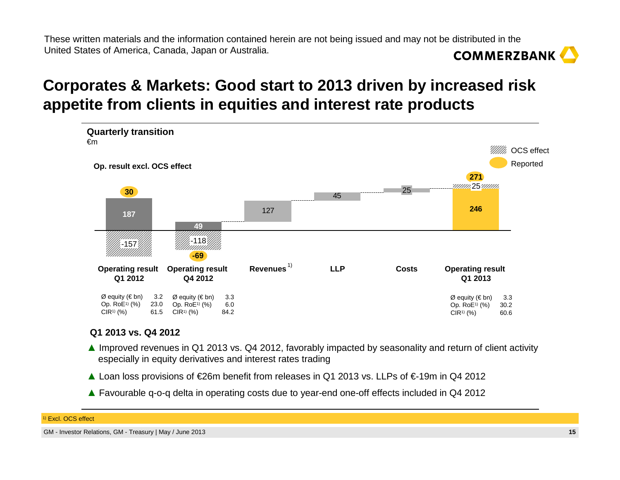# **Corporates & Markets: Good start to 2013 driven by increased risk appetite from clients in equities and interest rate products**



#### **Q1 2013 vs. Q4 2012**

- ▲ Improved revenues in Q1 2013 vs. Q4 2012, favorably impacted by seasonality and return of client activity aspecially in equity derivatives and interest rates trading especially in equity derivatives and interest rates trading
- ▲ Loan loss provisions of €26m benefit from releases in Q1 2013 vs. LLPs of €-19m in Q4 2012
- ▲ Favourable q-o-q delta in operating costs due to year-end one-off effects included in Q4 2012

#### 1) Excl. OCS effect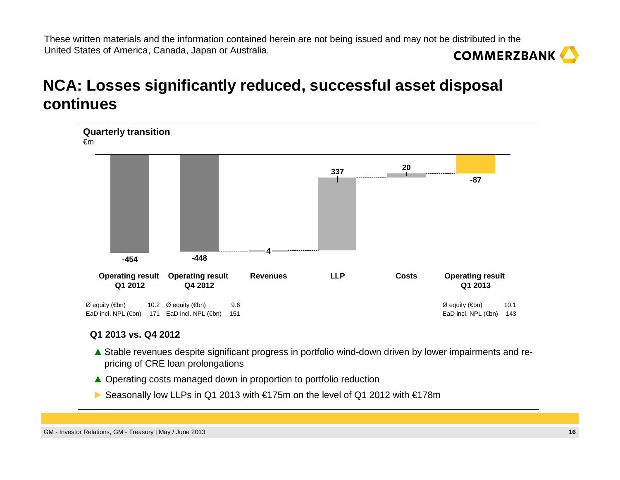# **NCA: Losses significantly reduced, successful asset disposal continues**



- ▲ Stable revenues despite significant progress in portfolio wind-down driven by lower impairments and re- pricing of CRE loan prolongations
- ▲ Operating costs managed down in proportion to portfolio reduction
- ► Seasonally low LLPs in Q1 2013 with €175m on the level of Q1 2012 with €178m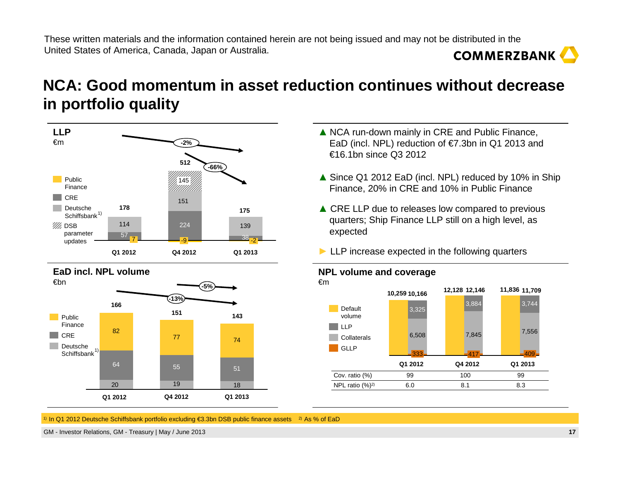# **NCA: Good momentum in asset reduction continues without decrease in portfolio quality**



- **▲** NCA run-down mainly in CRE and Public Finance, EaD (incl. NPL) reduction of €7.3bn in Q1 2013 and €16.1bn since Q3 2012
- ▲ Since Q1 2012 EaD (incl. NPL) reduced by 10% in Ship<br>Finance, 20% in CRE and 10% in Public Finance Finance, 20% in CRE and 10% in Public Finance
- **▲** CRE LLP due to releases low compared to previous<br>**A** CRE LLP still on a bigh level as quarters; Ship Finance LLP still on a high level, as expected
- ► LLP increase expected in the following quarters



**NPL volume and coverage**

1) In Q1 2012 Deutsche Schiffsbank portfolio excluding €3.3bn DSB public finance assets 2) As % of EaD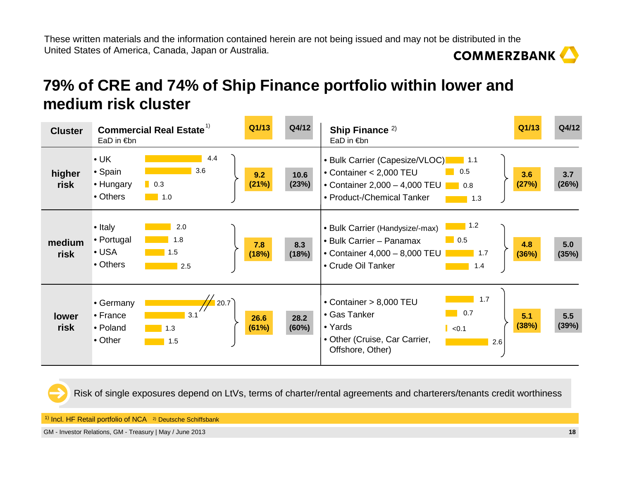# **79% of CRE and 74% of Ship Finance portfolio within lower and medium risk cluster**

| <b>Cluster</b>       | EaD in $\notin$ bn                                         | <b>Commercial Real Estate<sup>1)</sup></b> | Q1/13         | Q4/12         | Ship Finance <sup>2)</sup><br>EaD in €bn                                                                                                                                     | Q1/13        | Q4/12        |
|----------------------|------------------------------------------------------------|--------------------------------------------|---------------|---------------|------------------------------------------------------------------------------------------------------------------------------------------------------------------------------|--------------|--------------|
| higher<br>risk       | $\cdot$ UK<br>• Spain<br>• Hungary<br>• Others             | 4.4<br>3.6<br>$\sim 10^{-1}$<br>1.0        | 9.2<br>(21%)  | 10.6<br>(23%) | • Bulk Carrier (Capesize/VLOC)<br>$\blacksquare$ 1.1<br>0.5<br>• Container < 2,000 TEU<br>• Container 2,000 - 4,000 TEU $\Box$ 0.8<br>• Product-/Chemical Tanker<br>1.3      | 3.6<br>(27%) | 3.7<br>(26%) |
| medium<br>risk       | $\bullet$ Italy<br>• Portugal<br>$\bullet$ USA<br>• Others | 2.0<br>1.8<br>1.5<br>2.5                   | 7.8<br>(18%)  | 8.3<br>(18%)  | $\blacksquare$ 1.2<br>• Bulk Carrier (Handysize/-max)<br>$\Box$ 0.5<br>• Bulk Carrier - Panamax<br>• Container 4,000 - 8,000 TEU<br>$\vert$ 1.7<br>• Crude Oil Tanker<br>1.4 | 4.8<br>(36%) | 5.0<br>(35%) |
| <b>lower</b><br>risk | • Germany<br>$\bullet$ France<br>• Poland<br>• Other       | 20.7<br>3.1<br>1.3<br>1.5                  | 26.6<br>(61%) | 28.2<br>(60%) | 1.7<br>• Container > 8,000 TEU<br>0.7<br>• Gas Tanker<br>• Yards<br>$\sim$ <0.1<br>• Other (Cruise, Car Carrier,<br>2.6<br>Offshore, Other)                                  | 5.1<br>(38%) | 5.5<br>(39%) |

Risk of single exposures depend on LtVs, terms of charter/rental agreements and charterers/tenants credit worthiness

<sup>1)</sup> Incl. HF Retail portfolio of NCA <sup>2)</sup> Deutsche Schiffsbank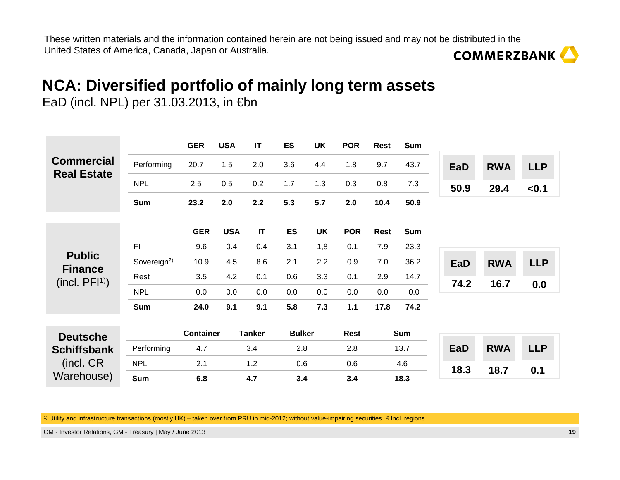# **NCA: Diversified portfolio of mainly long term assets**

EaD (incl. NPL) per 31.03.2013, in €bn

the control of the control of the control of

|                                             |                         | <b>GER</b>       | <b>USA</b> | $\mathsf{I}\mathsf{T}$ | <b>ES</b>     | <b>UK</b> | <b>POR</b>  | <b>Rest</b> | Sum        |            |            |            |
|---------------------------------------------|-------------------------|------------------|------------|------------------------|---------------|-----------|-------------|-------------|------------|------------|------------|------------|
| <b>Commercial</b><br><b>Real Estate</b>     | Performing              | 20.7             | 1.5        | 2.0                    | 3.6           | 4.4       | 1.8         | 9.7         | 43.7       | EaD        | <b>RWA</b> | <b>LLP</b> |
|                                             | <b>NPL</b>              | 2.5              | 0.5        | 0.2                    | 1.7           | 1.3       | 0.3         | 0.8         | 7.3        | 50.9       | 29.4       | < 0.1      |
|                                             | <b>Sum</b>              | 23.2             | 2.0        | 2.2                    | 5.3           | 5.7       | 2.0         | 10.4        | 50.9       |            |            |            |
|                                             |                         | <b>GER</b>       | <b>USA</b> | $\mathsf{I}\mathsf{T}$ | ES            | <b>UK</b> | <b>POR</b>  | <b>Rest</b> | <b>Sum</b> |            |            |            |
| <b>Public</b>                               | F <sub>l</sub>          | 9.6              | 0.4        | 0.4                    | 3.1           | 1,8       | 0.1         | 7.9         | 23.3       |            |            |            |
|                                             | Sovereign <sup>2)</sup> | 10.9             | 4.5        | 8.6                    | 2.1           | 2.2       | 0.9         | 7.0         | 36.2       | <b>EaD</b> | <b>RWA</b> | <b>LLP</b> |
| <b>Finance</b><br>(incl. PFI <sup>1</sup> ) | Rest                    | 3.5              | 4.2        | 0.1                    | 0.6           | 3.3       | 0.1         | 2.9         | 14.7       | 74.2       | 16.7       |            |
|                                             | <b>NPL</b>              | 0.0              | 0.0        | 0.0                    | 0.0           | 0.0       | 0.0         | 0.0         | 0.0        |            |            | 0.0        |
|                                             | <b>Sum</b>              | 24.0             | 9.1        | 9.1                    | 5.8           | 7.3       | 1.1         | 17.8        | 74.2       |            |            |            |
|                                             |                         |                  |            |                        |               |           |             |             |            |            |            |            |
| <b>Deutsche</b>                             |                         | <b>Container</b> |            | <b>Tanker</b>          | <b>Bulker</b> |           | <b>Rest</b> |             | <b>Sum</b> |            |            |            |
| <b>Schiffsbank</b>                          | Performing              | 4.7              |            | 3.4                    | 2.8           |           | 2.8         |             | 13.7       | <b>EaD</b> | <b>RWA</b> | <b>LLP</b> |
| (incl. CR                                   | <b>NPL</b>              | 2.1              |            | $1.2$                  | 0.6           |           | 0.6         |             | 4.6        | 18.3       | 18.7       | 0.1        |
| Warehouse)                                  | <b>Sum</b>              | 6.8              |            | 4.7                    | 3.4           |           | 3.4         |             | 18.3       |            |            |            |

 $^{\rm 1)}$  Utility and infrastructure transactions (mostly UK) – taken over from PRU in mid-2012; without value-impairing securities  $^{\rm 2)}$  Incl. regions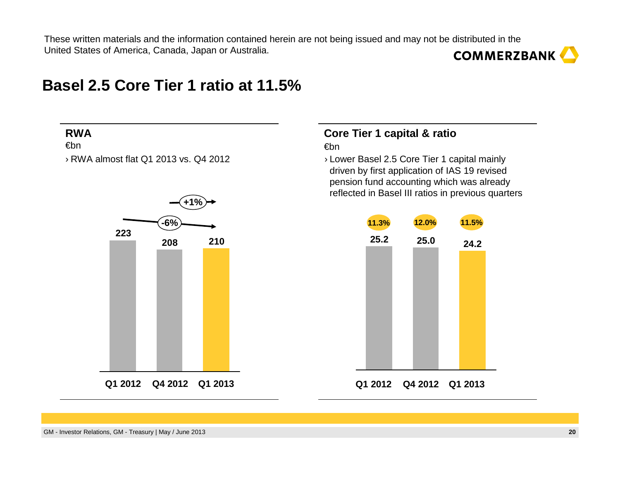### **Basel 2.5 Core Tier 1 ratio at 11.5%**

#### **RWA**

€bn

› R



#### **Core Tier 1 capital & ratio**€bn

RWA almost flat Q1 2013 vs. Q4 2012 <br> **Example 2.5 Core Tier 1 capital mainly** driven by first application of IAS 19 revised pension fund accounting which was already reflected in Basel III ratios in previous quarters

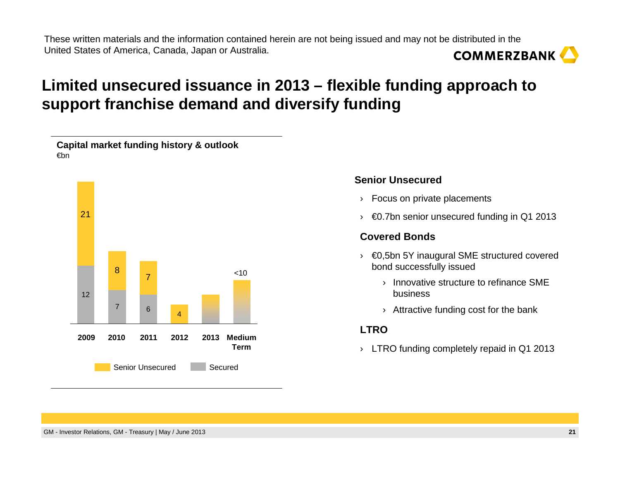# **Limited unsecured issuance in 2013 – flexible funding approach to support franchise demand and diversify funding**



#### **Senior Unsecured**

- › Focus on private placements
- $\rightarrow \infty$  60.7bn senior unsecured funding in Q1 2013

#### **Covered Bonds**

- › €0,5bn 5Y inaugural SME structured covered bond successfully issued
	- › Innovative structure to refinance SME business
	- $\rightarrow$  Attractive funding cost for the bank

#### **LTRO**

 $\rightarrow$  LTRO funding completely repaid in Q1 2013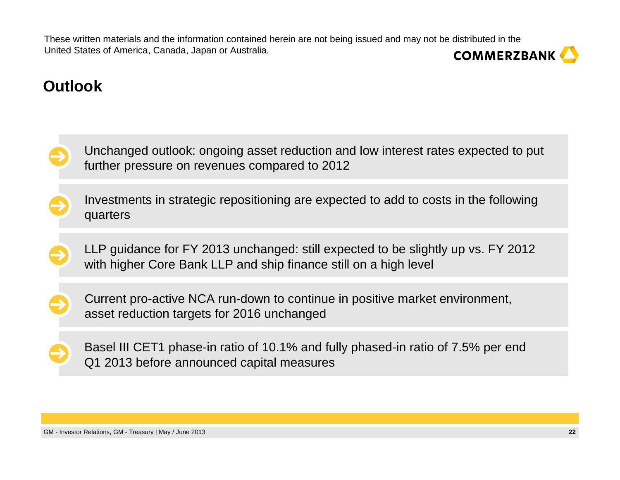# **COMMERZBANK**

# **Outlook**

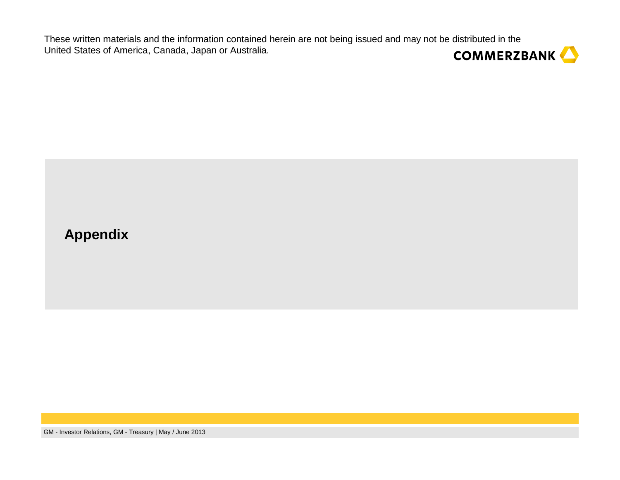

### **Appendix**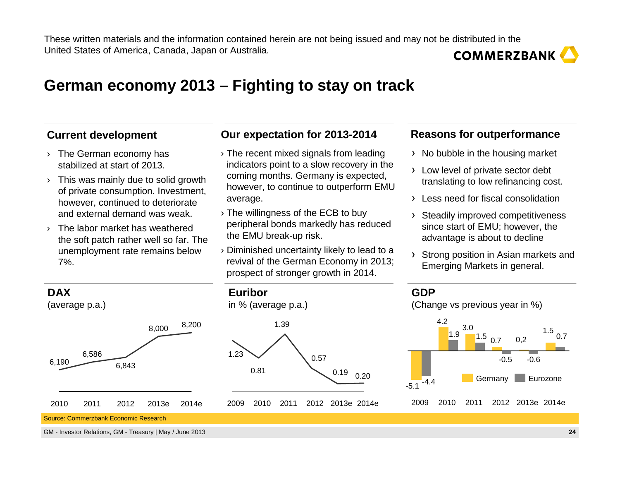### **German economy 2013 – Fighting to stay on track**

#### **Current development**

- › The German economy has stabilized at start of 2013.
- $\rightarrow$  This was mainly due to solid growth of private consumption. Investment, however, continued to deteriorate and external demand was weak.
- › The labor market has weathered the soft patch rather well so far. The unemployment rate remains below 7%.

#### **Our expectation for 2013-2014**

- › The recent mixed signals from leading indicators point to a slow recovery in the coming months. Germany is expected, however, to continue to outperform EMU average.
- › The willingness of the ECB to buy peripheral bonds markedly has reduced the EMU break-up risk.
- › Diminished uncertainty likely to lead to a revival of the German Economy in 2013; prospect of stronger growth in 2014.

#### **Reasons for outperformance**

- > No bubble in the housing market
- Low level of private sector debt translating to low refinancing cost.
- Less need for fiscal consolidation
- Steadily improved competitiveness since start of EMU; however, the advantage is about to decline
- Strong position in Asian markets and Emerging Markets in general.



Source: Commerzbank Economic Research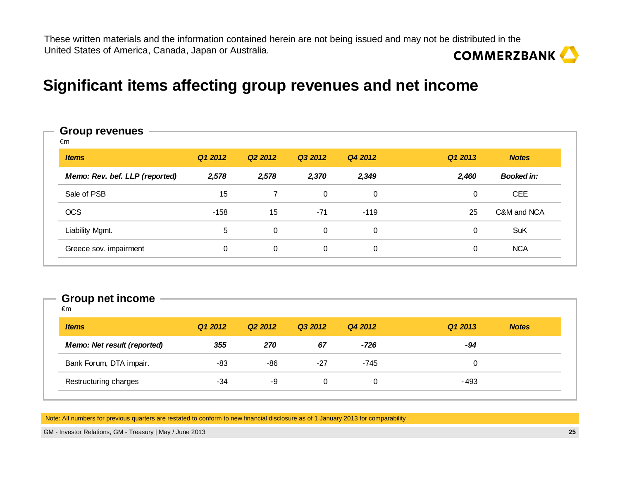### **Significant items affecting group revenues and net income**

#### **Items Q1 2012 Q2 2012 Q3 2012 Q4 2012 Q1 2013 NotesMemo: Rev. bef. LLP (reported) 2,578 2,578 2,370 2,349 2,460 Booked in:**Sale of PSB 15 7 0 0 CEE OCSS 15 -158 15 -71 -119 25 C&M and NCA Liability Mgmt. <sup>5</sup> 0 0 0 0 SuKGreece sov. impairment 0 0 0 0 0 0 0 NCA **Group revenues**€m

#### **Group net income**

| <i><b>Items</b></i>                | Q1 2012 | Q <sub>2</sub> 2012 | Q3 2012 | Q4 2012 | Q1 2013 | <b>Notes</b> |
|------------------------------------|---------|---------------------|---------|---------|---------|--------------|
| <b>Memo: Net result (reported)</b> | 355     | 270                 | 67      | $-726$  | -94     |              |
| Bank Forum, DTA impair.            | -83     | -86                 | $-27$   | $-745$  | 0       |              |
| Restructuring charges              | -34     | -9                  | 0       | 0       | $-493$  |              |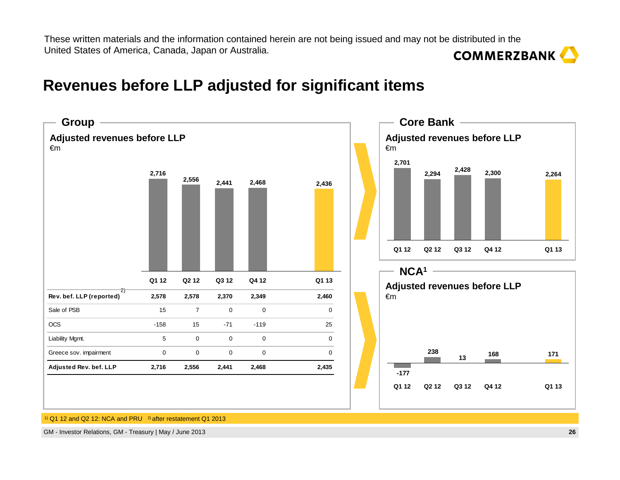### **Revenues before LLP adjusted for significant items**

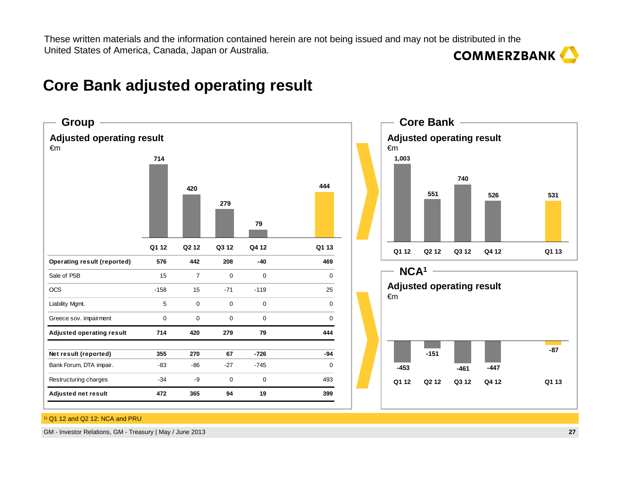#### **44479279420714Q1 12 Q2 12 Q3 12 Q4 12 Q1 13 526740551**<u>1</u> 526 531 **Q1 12 Q2 12 Q3 12 Q4 12 Q1 13 1,003 -87-461 -447 -151-453Q1 12 Q2 12 Q3 12 Q4 12 Q1 13 Adjusted operating result** €m**Adjusted operating result**€m**Core Bank** -**NCA1Adjusted operating result** €m**GroupOperating result (reported) 576 442 208 -40 469**Sale of PSB  $\begin{array}{ccccccc} 15 & 7 & 0 & 0 & 0 \end{array}$ OCS -158 15 -71 -119 25Liability Mgmt. 5 0 0 0 0Greece sov. impairment 0 0 0 0 0**Adjusted operating result 714 420 279 79 444Net result (reported) 355 270 67 -726 -94**Bank Forum, DTA impair. -83 -86 -27 -745 0Restructuring charges  $-34$   $-9$  0 0 0 493 **Adjusted net result 472 365 94 19 399**

# **Core Bank adjusted operating result**

1) Q1 12 and Q2 12: NCA and PRU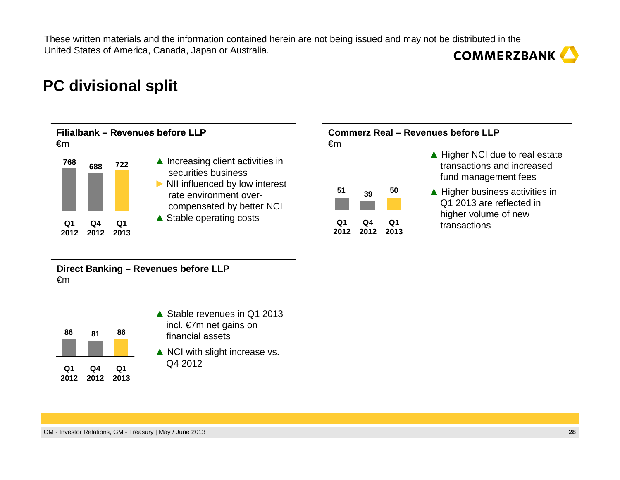# **PC divisional split**



**Direct Banking – Revenues before LLP**  €m

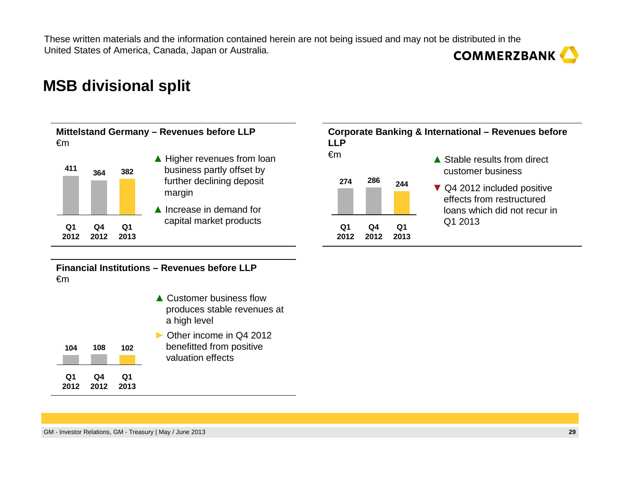### **MSB divisional split**

#### **Mittelstand Germany – Revenues before LLP**  €m



#### **▲** Higher revenues from loan<br>business partly offset by business partly offset by further declining deposit margin

**▲** Increase in demand for capital market products



#### **Financial Institutions – Revenues before LLP**  €m

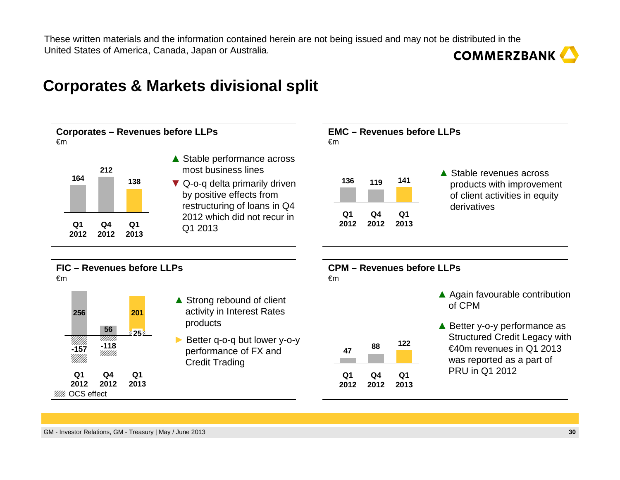### **Corporates & Markets divisional split**

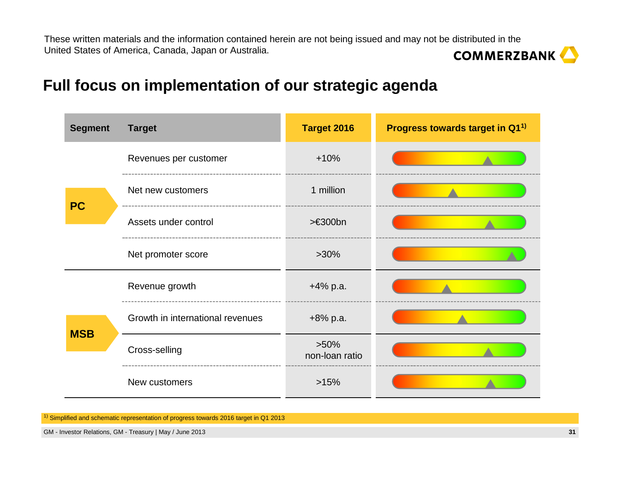# **Full focus on implementation of our strategic agenda**

| <b>Segment</b> | <b>Target</b>                    | Target 2016               | Progress towards target in Q1 <sup>1)</sup> |
|----------------|----------------------------------|---------------------------|---------------------------------------------|
|                | Revenues per customer            | $+10%$                    |                                             |
| <b>PC</b>      | Net new customers                | 1 million                 |                                             |
|                | Assets under control             | >€300bn                   |                                             |
|                | Net promoter score               | $>30\%$                   |                                             |
|                | Revenue growth                   | $+4\%$ p.a.               |                                             |
| <b>MSB</b>     | Growth in international revenues | $+8\%$ p.a.               |                                             |
|                | Cross-selling                    | $>50\%$<br>non-loan ratio |                                             |
|                | New customers                    | >15%                      |                                             |

<sup>1)</sup> Simplified and schematic representation of progress towards 2016 target in Q1 2013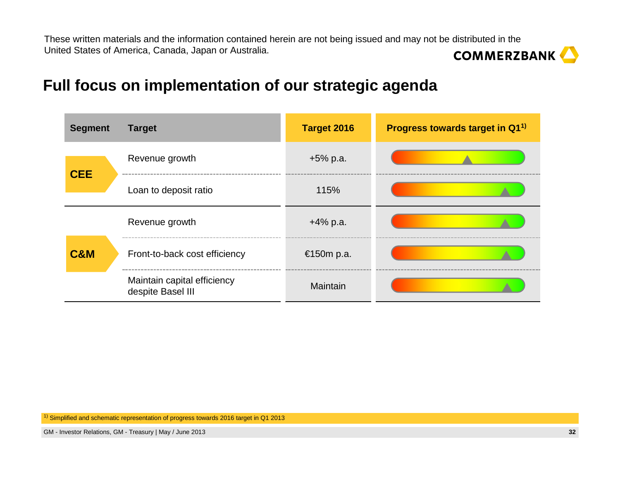# **Full focus on implementation of our strategic agenda**

| <b>Segment</b> | <b>Target</b>                                    | <b>Target 2016</b> | Progress towards target in Q1 <sup>1)</sup> |
|----------------|--------------------------------------------------|--------------------|---------------------------------------------|
| <b>CEE</b>     | Revenue growth                                   | $+5\%$ p.a.        |                                             |
|                | Loan to deposit ratio                            | 115%               |                                             |
|                | Revenue growth                                   | $+4\%$ p.a.        |                                             |
| <b>C&amp;M</b> | Front-to-back cost efficiency                    | €150m p.a.         |                                             |
|                | Maintain capital efficiency<br>despite Basel III | Maintain           |                                             |

<sup>1)</sup> Simplified and schematic representation of progress towards 2016 target in Q1 2013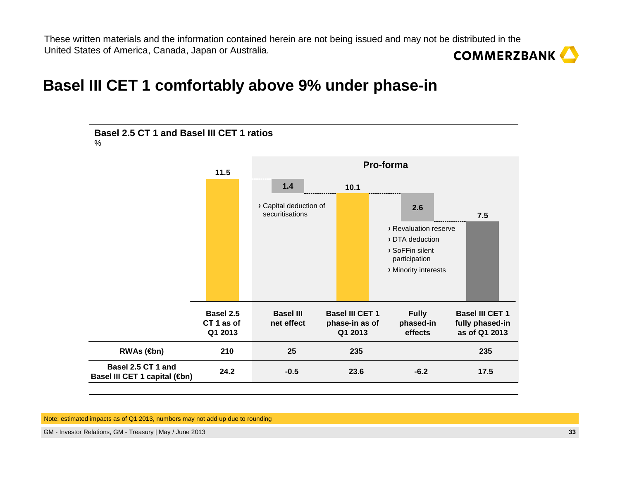### **Basel III CET 1 comfortably above 9% under phase-in**



Note: estimated impacts as of Q1 2013, numbers may not add up due to rounding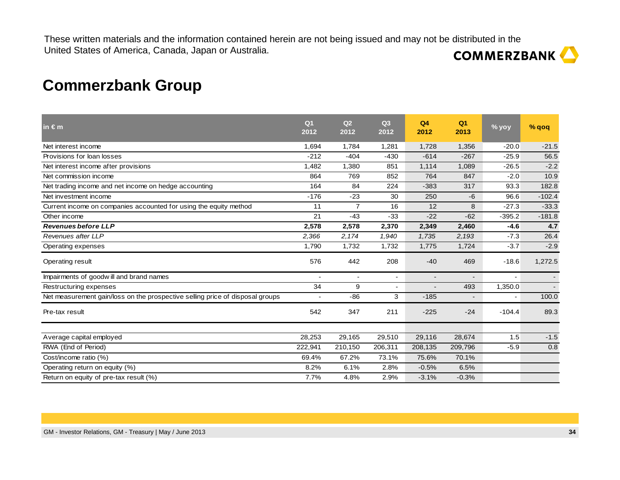# **Commerzbank Group**

| in $\epsilon$ m                                                               | Q <sub>1</sub><br>2012 | Q2<br>2012     | Q <sub>3</sub><br>2012 | Q4<br>2012     | Q <sub>1</sub><br>2013 | % yoy    | % qoq    |
|-------------------------------------------------------------------------------|------------------------|----------------|------------------------|----------------|------------------------|----------|----------|
| Net interest income                                                           | 1,694                  | 1,784          | 1,281                  | 1,728          | 1,356                  | $-20.0$  | $-21.5$  |
| Provisions for loan losses                                                    | $-212$                 | $-404$         | $-430$                 | $-614$         | $-267$                 | $-25.9$  | 56.5     |
| Net interest income after provisions                                          | 1,482                  | 1,380          | 851                    | 1,114          | 1,089                  | $-26.5$  | $-2.2$   |
| Net commission income                                                         | 864                    | 769            | 852                    | 764            | 847                    | $-2.0$   | 10.9     |
| Net trading income and net income on hedge accounting                         | 164                    | 84             | 224                    | $-383$         | 317                    | 93.3     | 182.8    |
| Net investment income                                                         | $-176$                 | $-23$          | 30                     | 250            | $-6$                   | 96.6     | $-102.4$ |
| Current income on companies accounted for using the equity method             | 11                     | $\overline{7}$ | 16                     | 12             | 8                      | $-27.3$  | $-33.3$  |
| Other income                                                                  | 21                     | $-43$          | $-33$                  | $-22$          | $-62$                  | $-395.2$ | $-181.8$ |
| <b>Revenues before LLP</b>                                                    | 2,578                  | 2,578          | 2,370                  | 2,349          | 2,460                  | $-4.6$   | 4.7      |
| Revenues after LLP                                                            | 2,366                  | 2,174          | 1,940                  | 1,735          | 2,193                  | $-7.3$   | 26.4     |
| Operating expenses                                                            | 1,790                  | 1,732          | 1,732                  | 1,775          | 1,724                  | $-3.7$   | $-2.9$   |
| Operating result                                                              | 576                    | 442            | 208                    | $-40$          | 469                    | $-18.6$  | 1,272.5  |
| Impairments of goodwill and brand names                                       |                        |                |                        | $\blacksquare$ |                        |          |          |
| Restructuring expenses                                                        | 34                     | 9              |                        |                | 493                    | 1,350.0  |          |
| Net measurement gain/loss on the prospective selling price of disposal groups |                        | $-86$          | 3                      | $-185$         |                        |          | 100.0    |
| Pre-tax result                                                                | 542                    | 347            | 211                    | $-225$         | $-24$                  | $-104.4$ | 89.3     |
| Average capital employed                                                      | 28,253                 | 29,165         | 29,510                 | 29,116         | 28,674                 | 1.5      | $-1.5$   |
| RWA (End of Period)                                                           | 222,941                | 210,150        | 206,311                | 208,135        | 209,796                | $-5.9$   | 0.8      |
| Cost/income ratio (%)                                                         | 69.4%                  | 67.2%          | 73.1%                  | 75.6%          | 70.1%                  |          |          |
| Operating return on equity (%)                                                | 8.2%                   | 6.1%           | 2.8%                   | $-0.5%$        | 6.5%                   |          |          |
| Return on equity of pre-tax result (%)                                        | 7.7%                   | 4.8%           | 2.9%                   | $-3.1%$        | $-0.3%$                |          |          |
|                                                                               |                        |                |                        |                |                        |          |          |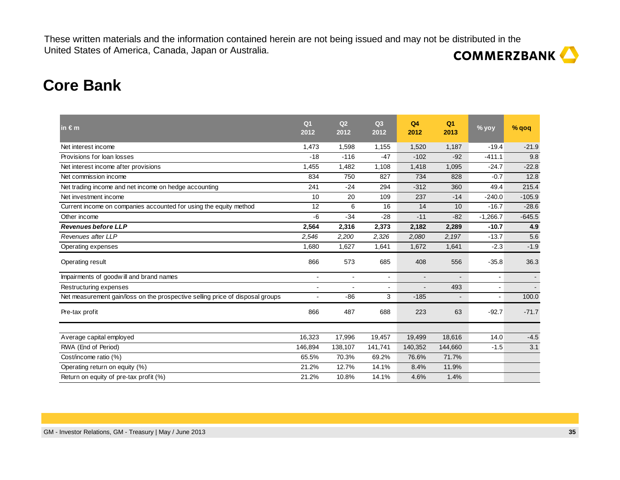# **COMMERZBANK**

# **Core Bank**

| $in \in m$                                                                    | Q <sub>1</sub><br>2012 | Q2<br>2012     | Q3<br>2012            | Q <sub>4</sub><br>2012 | Q <sub>1</sub><br>2013 | % yoy      | % qoq    |
|-------------------------------------------------------------------------------|------------------------|----------------|-----------------------|------------------------|------------------------|------------|----------|
| Net interest income                                                           | 1,473                  | 1,598          | 1,155                 | 1,520                  | 1,187                  | $-19.4$    | $-21.9$  |
| Provisions for loan losses                                                    | $-18$                  | $-116$         | $-47$                 | $-102$                 | $-92$                  | $-411.1$   | 9.8      |
| Net interest income after provisions                                          | 1,455                  | 1,482          | 1,108                 | 1,418                  | 1,095                  | $-24.7$    | $-22.8$  |
| Net commission income                                                         | 834                    | 750            | 827                   | 734                    | 828                    | $-0.7$     | 12.8     |
| Net trading income and net income on hedge accounting                         | 241                    | $-24$          | 294                   | $-312$                 | 360                    | 49.4       | 215.4    |
| Net investment income                                                         | 10                     | 20             | 109                   | 237                    | $-14$                  | $-240.0$   | $-105.9$ |
| Current income on companies accounted for using the equity method             | 12                     | 6              | 16                    | 14                     | 10                     | $-16.7$    | $-28.6$  |
| Other income                                                                  | -6                     | $-34$          | $-28$                 | $-11$                  | $-82$                  | $-1,266.7$ | $-645.5$ |
| <b>Revenues before LLP</b>                                                    | 2,564                  | 2,316          | 2,373                 | 2,182                  | 2,289                  | $-10.7$    | 4.9      |
| Revenues after LLP                                                            | 2,546                  | 2,200          | 2,326                 | 2,080                  | 2,197                  | $-13.7$    | 5.6      |
| Operating expenses                                                            | 1,680                  | 1,627          | 1,641                 | 1,672                  | 1,641                  | $-2.3$     | $-1.9$   |
| Operating result                                                              | 866                    | 573            | 685                   | 408                    | 556                    | $-35.8$    | 36.3     |
| Impairments of goodwill and brand names                                       | ٠                      | $\blacksquare$ | $\tilde{\phantom{a}}$ | $\blacksquare$         |                        |            |          |
| Restructuring expenses                                                        | $\blacksquare$         |                |                       |                        | 493                    |            |          |
| Net measurement gain/loss on the prospective selling price of disposal groups | ä,                     | $-86$          | 3                     | $-185$                 | $\blacksquare$         | $\sim$     | 100.0    |
| Pre-tax profit                                                                | 866                    | 487            | 688                   | 223                    | 63                     | $-92.7$    | $-71.7$  |
|                                                                               |                        |                |                       |                        |                        |            |          |
| Average capital employed                                                      | 16,323                 | 17,996         | 19,457                | 19,499                 | 18,616                 | 14.0       | $-4.5$   |
| RWA (End of Period)                                                           | 146,894                | 138,107        | 141,741               | 140,352                | 144,660                | $-1.5$     | 3.1      |
| Cost/income ratio (%)                                                         | 65.5%                  | 70.3%          | 69.2%                 | 76.6%                  | 71.7%                  |            |          |
| Operating return on equity (%)                                                | 21.2%                  | 12.7%          | 14.1%                 | 8.4%                   | 11.9%                  |            |          |
| Return on equity of pre-tax profit (%)                                        | 21.2%                  | 10.8%          | 14.1%                 | 4.6%                   | 1.4%                   |            |          |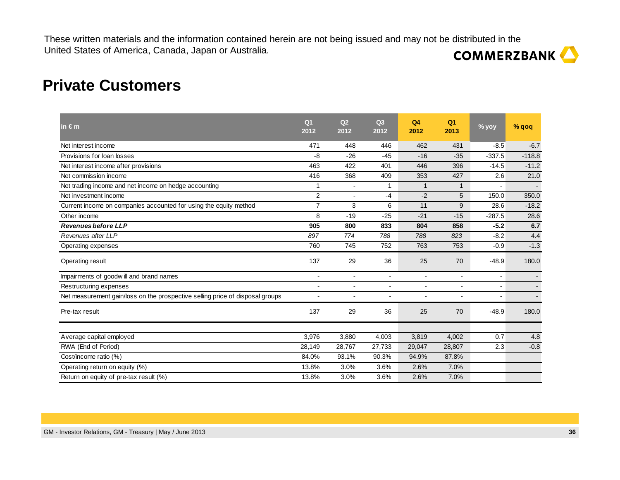### **Private Customers**

| in $\epsilon$ m                                                               | Q <sub>1</sub><br>2012 | Q <sub>2</sub><br>2012   | Q <sub>3</sub><br>2012   | Q <sub>4</sub><br>2012   | Q <sub>1</sub><br>2013 | % yoy          | % qoq    |
|-------------------------------------------------------------------------------|------------------------|--------------------------|--------------------------|--------------------------|------------------------|----------------|----------|
| Net interest income                                                           | 471                    | 448                      | 446                      | 462                      | 431                    | $-8.5$         | $-6.7$   |
| Provisions for loan losses                                                    | $-8$                   | $-26$                    | $-45$                    | $-16$                    | $-35$                  | $-337.5$       | $-118.8$ |
| Net interest income after provisions                                          | 463                    | 422                      | 401                      | 446                      | 396                    | $-14.5$        | $-11.2$  |
| Net commission income                                                         | 416                    | 368                      | 409                      | 353                      | 427                    | 2.6            | 21.0     |
| Net trading income and net income on hedge accounting                         | 1                      |                          |                          | $\mathbf{1}$             | $\mathbf{1}$           |                |          |
| Net investment income                                                         | $\overline{2}$         | $\overline{a}$           | $-4$                     | $-2$                     | 5                      | 150.0          | 350.0    |
| Current income on companies accounted for using the equity method             | $\overline{7}$         | 3                        | 6                        | 11                       | 9                      | 28.6           | $-18.2$  |
| Other income                                                                  | 8                      | $-19$                    | $-25$                    | $-21$                    | $-15$                  | $-287.5$       | 28.6     |
| <b>Revenues before LLP</b>                                                    | 905                    | 800                      | 833                      | 804                      | 858                    | $-5.2$         | 6.7      |
| Revenues after LLP                                                            | 897                    | 774                      | 788                      | 788                      | 823                    | $-8.2$         | 4.4      |
| Operating expenses                                                            | 760                    | 745                      | 752                      | 763                      | 753                    | $-0.9$         | $-1.3$   |
| Operating result                                                              | 137                    | 29                       | 36                       | 25                       | 70                     | $-48.9$        | 180.0    |
| Impairments of goodwill and brand names                                       | $\blacksquare$         | $\overline{\phantom{a}}$ | $\blacksquare$           | $\overline{\phantom{a}}$ | $\blacksquare$         | $\blacksquare$ |          |
| Restructuring expenses                                                        | $\overline{a}$         | $\overline{\phantom{a}}$ | ٠                        | ä,                       | ٠                      | $\blacksquare$ |          |
| Net measurement gain/loss on the prospective selling price of disposal groups |                        |                          | $\overline{\phantom{a}}$ | $\overline{\phantom{a}}$ | $\overline{a}$         |                |          |
| Pre-tax result                                                                | 137                    | 29                       | 36                       | 25                       | 70                     | $-48.9$        | 180.0    |
|                                                                               |                        |                          |                          |                          |                        |                |          |
| Average capital employed                                                      | 3,976                  | 3,880                    | 4,003                    | 3,819                    | 4,002                  | 0.7            | 4.8      |
| RWA (End of Period)                                                           | 28,149                 | 28,767                   | 27,733                   | 29,047                   | 28,807                 | 2.3            | $-0.8$   |
| Cost/income ratio (%)                                                         | 84.0%                  | 93.1%                    | 90.3%                    | 94.9%                    | 87.8%                  |                |          |
| Operating return on equity (%)                                                | 13.8%                  | 3.0%                     | 3.6%                     | 2.6%                     | 7.0%                   |                |          |
| Return on equity of pre-tax result (%)                                        | 13.8%                  | 3.0%                     | 3.6%                     | 2.6%                     | 7.0%                   |                |          |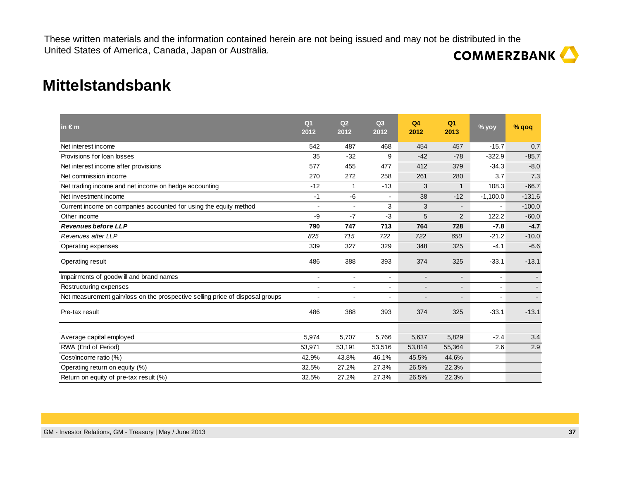### **Mittelstandsbank**

| in $\epsilon$ m                                                               | Q <sub>1</sub><br>2012   | Q2<br>2012     | Q3<br>2012     | Q <sub>4</sub><br>2012   | Q <sub>1</sub><br>2013   | % yoy          | % qoq    |
|-------------------------------------------------------------------------------|--------------------------|----------------|----------------|--------------------------|--------------------------|----------------|----------|
| Net interest income                                                           | 542                      | 487            | 468            | 454                      | 457                      | $-15.7$        | 0.7      |
| Provisions for loan losses                                                    | 35                       | $-32$          | 9              | $-42$                    | $-78$                    | $-322.9$       | $-85.7$  |
| Net interest income after provisions                                          | 577                      | 455            | 477            | 412                      | 379                      | $-34.3$        | $-8.0$   |
| Net commission income                                                         | 270                      | 272            | 258            | 261                      | 280                      | 3.7            | 7.3      |
| Net trading income and net income on hedge accounting                         | $-12$                    | 1              | $-13$          | 3                        | $\mathbf{1}$             | 108.3          | $-66.7$  |
| Net investment income                                                         | $-1$                     | -6             | ÷              | 38                       | $-12$                    | $-1,100.0$     | $-131.6$ |
| Current income on companies accounted for using the equity method             | $\sim$                   |                | 3              | 3                        | $\sim$                   | $\blacksquare$ | $-100.0$ |
| Other income                                                                  | -9                       | $-7$           | $-3$           | 5                        | 2                        | 122.2          | $-60.0$  |
| <b>Revenues before LLP</b>                                                    | 790                      | 747            | 713            | 764                      | 728                      | $-7.8$         | $-4.7$   |
| Revenues after LLP                                                            | 825                      | 715            | 722            | 722                      | 650                      | $-21.2$        | $-10.0$  |
| Operating expenses                                                            | 339                      | 327            | 329            | 348                      | 325                      | $-4.1$         | $-6.6$   |
| Operating result                                                              | 486                      | 388            | 393            | 374                      | 325                      | $-33.1$        | $-13.1$  |
| Impairments of goodwill and brand names                                       | $\overline{\phantom{a}}$ | $\blacksquare$ | $\blacksquare$ | $\blacksquare$           | $\overline{\phantom{a}}$ |                |          |
| Restructuring expenses                                                        |                          | $\blacksquare$ | ä,             | $\blacksquare$           | Ξ.                       | $\blacksquare$ |          |
| Net measurement gain/loss on the prospective selling price of disposal groups | $\blacksquare$           |                | $\blacksquare$ | $\overline{\phantom{a}}$ | ۰.                       |                |          |
| Pre-tax result                                                                | 486                      | 388            | 393            | 374                      | 325                      | $-33.1$        | $-13.1$  |
|                                                                               | 5,974                    | 5,707          | 5,766          | 5,637                    | 5,829                    | $-2.4$         | 3.4      |
| Average capital employed                                                      |                          |                |                |                          |                          |                |          |
| RWA (End of Period)                                                           | 53,971                   | 53,191         | 53,516         | 53,814                   | 55,364                   | 2.6            | 2.9      |
| Cost/income ratio (%)                                                         | 42.9%                    | 43.8%          | 46.1%          | 45.5%                    | 44.6%                    |                |          |
| Operating return on equity (%)                                                | 32.5%                    | 27.2%          | 27.3%          | 26.5%                    | 22.3%                    |                |          |
| Return on equity of pre-tax result (%)                                        | 32.5%                    | 27.2%          | 27.3%          | 26.5%                    | 22.3%                    |                |          |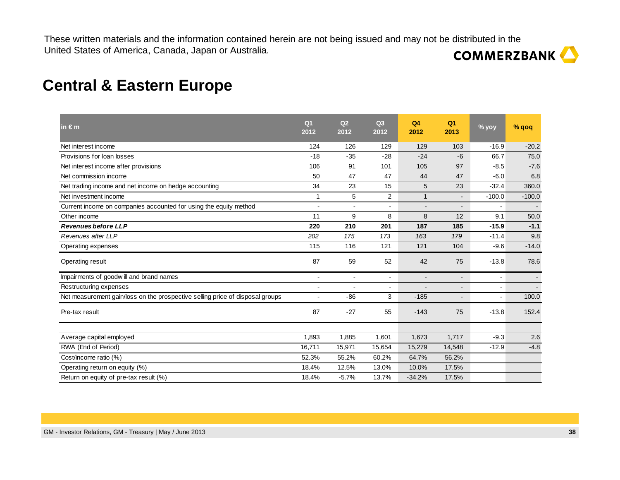# **COMMERZBANK**

### **Central & Eastern Europe**

| O <sub>1</sub><br>2012 | Q2<br>2012               | Q3<br>2012     | Q <sub>4</sub><br>2012   | Q <sub>1</sub><br>2013   | % yoy          | % qoq    |
|------------------------|--------------------------|----------------|--------------------------|--------------------------|----------------|----------|
| 124                    | 126                      | 129            | 129                      | 103                      | $-16.9$        | $-20.2$  |
| $-18$                  | $-35$                    | $-28$          | $-24$                    | $-6$                     | 66.7           | 75.0     |
| 106                    | 91                       | 101            | 105                      | 97                       | $-8.5$         | $-7.6$   |
| 50                     | 47                       | 47             | 44                       | 47                       | $-6.0$         | 6.8      |
| 34                     | 23                       | 15             | 5                        | 23                       | $-32.4$        | 360.0    |
| 1                      | 5                        | 2              | $\mathbf{1}$             | $\blacksquare$           | $-100.0$       | $-100.0$ |
| $\overline{a}$         | ÷                        | $\overline{a}$ | $\blacksquare$           | $\blacksquare$           | $\blacksquare$ |          |
| 11                     | 9                        | 8              | 8                        | 12                       | 9.1            | 50.0     |
| 220                    | 210                      | 201            | 187                      | 185                      | $-15.9$        | $-1.1$   |
| 202                    | 175                      | 173            | 163                      | 179                      | $-11.4$        | 9.8      |
| 115                    | 116                      | 121            | 121                      | 104                      | $-9.6$         | $-14.0$  |
| 87                     | 59                       | 52             | 42                       | 75                       | $-13.8$        | 78.6     |
| $\overline{a}$         | $\overline{\phantom{a}}$ | $\blacksquare$ | $\overline{\phantom{a}}$ | $\blacksquare$           | $\overline{a}$ |          |
| $\blacksquare$         |                          | $\overline{a}$ |                          | $\overline{\phantom{a}}$ |                |          |
| $\blacksquare$         | $-86$                    | 3              | $-185$                   | -                        | $\blacksquare$ | 100.0    |
| 87                     | $-27$                    | 55             | $-143$                   | 75                       | $-13.8$        | 152.4    |
| 1,893                  |                          | 1,601          | 1,673                    | 1,717                    | $-9.3$         | 2.6      |
| 16.711                 | 15,971                   | 15,654         | 15,279                   | 14,548                   | $-12.9$        | $-4.8$   |
| 52.3%                  | 55.2%                    | 60.2%          | 64.7%                    | 56.2%                    |                |          |
| 18.4%                  | 12.5%                    | 13.0%          | 10.0%                    | 17.5%                    |                |          |
| 18.4%                  | $-5.7%$                  | 13.7%          | $-34.2%$                 | 17.5%                    |                |          |
|                        |                          | 1,885          |                          |                          |                |          |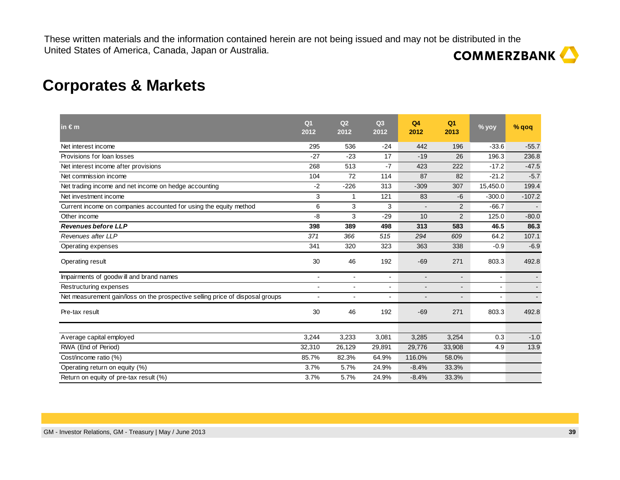### **Corporates & Markets**

| in $\epsilon$ m                                                               | Q <sub>1</sub><br>2012   | Q2<br>2012 | Q <sub>3</sub><br>2012 | Q <sub>4</sub><br>2012 | Q <sub>1</sub><br>2013 | % yoy                    | % qoq    |
|-------------------------------------------------------------------------------|--------------------------|------------|------------------------|------------------------|------------------------|--------------------------|----------|
| Net interest income                                                           | 295                      | 536        | $-24$                  | 442                    | 196                    | $-33.6$                  | $-55.7$  |
| Provisions for loan losses                                                    | $-27$                    | $-23$      | 17                     | $-19$                  | 26                     | 196.3                    | 236.8    |
| Net interest income after provisions                                          | 268                      | 513        | $-7$                   | 423                    | 222                    | $-17.2$                  | $-47.5$  |
| Net commission income                                                         | 104                      | 72         | 114                    | 87                     | 82                     | $-21.2$                  | $-5.7$   |
| Net trading income and net income on hedge accounting                         | $-2$                     | $-226$     | 313                    | $-309$                 | 307                    | 15,450.0                 | 199.4    |
| Net investment income                                                         | 3                        | 1          | 121                    | 83                     | $-6$                   | $-300.0$                 | $-107.2$ |
| Current income on companies accounted for using the equity method             | 6                        | 3          | 3                      |                        | $\overline{2}$         | $-66.7$                  |          |
| Other income                                                                  | $-8$                     | 3          | $-29$                  | 10                     | $\overline{2}$         | 125.0                    | $-80.0$  |
| <b>Revenues before LLP</b>                                                    | 398                      | 389        | 498                    | 313                    | 583                    | 46.5                     | 86.3     |
| Revenues after LLP                                                            | 371                      | 366        | 515                    | 294                    | 609                    | 64.2                     | 107.1    |
| Operating expenses                                                            | 341                      | 320        | 323                    | 363                    | 338                    | $-0.9$                   | $-6.9$   |
| Operating result                                                              | 30                       | 46         | 192                    | $-69$                  | 271                    | 803.3                    | 492.8    |
| Impairments of goodwill and brand names                                       | $\overline{\phantom{a}}$ |            | $\blacksquare$         | $\blacksquare$         | $\blacksquare$         |                          |          |
| Restructuring expenses                                                        |                          |            | $\overline{a}$         |                        | ۰.                     | $\overline{\phantom{a}}$ |          |
| Net measurement gain/loss on the prospective selling price of disposal groups |                          |            | $\blacksquare$         |                        | $\blacksquare$         | $\blacksquare$           |          |
| Pre-tax result                                                                | 30                       | 46         | 192                    | $-69$                  | 271                    | 803.3                    | 492.8    |
| Average capital employed                                                      | 3,244                    | 3,233      | 3,081                  | 3,285                  | 3,254                  | 0.3                      | $-1.0$   |
| RWA (End of Period)                                                           | 32,310                   | 26,129     | 29,891                 | 29,776                 | 33,908                 | 4.9                      | 13.9     |
| Cost/income ratio (%)                                                         | 85.7%                    | 82.3%      | 64.9%                  | 116.0%                 | 58.0%                  |                          |          |
| Operating return on equity (%)                                                | 3.7%                     | 5.7%       | 24.9%                  | $-8.4%$                | 33.3%                  |                          |          |
|                                                                               | 3.7%                     | 5.7%       | 24.9%                  |                        | 33.3%                  |                          |          |
| Return on equity of pre-tax result (%)                                        |                          |            |                        | $-8.4%$                |                        |                          |          |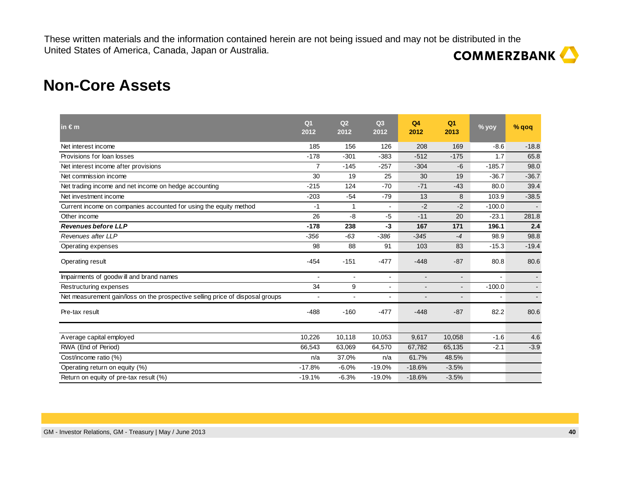### **Non-Core Assets**

| in $\epsilon$ m                                                               | Q <sub>1</sub><br>2012 | Q <sub>2</sub><br>2012 | Q <sub>3</sub><br>2012 | Q <sub>4</sub><br>2012 | Q <sub>1</sub><br>2013   | % yoy    | % qoq   |
|-------------------------------------------------------------------------------|------------------------|------------------------|------------------------|------------------------|--------------------------|----------|---------|
| Net interest income                                                           | 185                    | 156                    | 126                    | 208                    | 169                      | $-8.6$   | $-18.8$ |
| Provisions for loan losses                                                    | $-178$                 | $-301$                 | $-383$                 | $-512$                 | $-175$                   | 1.7      | 65.8    |
| Net interest income after provisions                                          | $\overline{7}$         | $-145$                 | $-257$                 | $-304$                 | -6                       | $-185.7$ | 98.0    |
| Net commission income                                                         | 30                     | 19                     | 25                     | 30                     | 19                       | $-36.7$  | $-36.7$ |
| Net trading income and net income on hedge accounting                         | $-215$                 | 124                    | $-70$                  | $-71$                  | $-43$                    | 80.0     | 39.4    |
| Net investment income                                                         | $-203$                 | $-54$                  | $-79$                  | 13                     | 8                        | 103.9    | $-38.5$ |
| Current income on companies accounted for using the equity method             | $-1$                   | 1                      | $\blacksquare$         | $-2$                   | $-2$                     | $-100.0$ |         |
| Other income                                                                  | 26                     | $-8$                   | $-5$                   | $-11$                  | 20                       | $-23.1$  | 281.8   |
| <b>Revenues before LLP</b>                                                    | $-178$                 | 238                    | $-3$                   | 167                    | 171                      | 196.1    | 2.4     |
| Revenues after LLP                                                            | $-356$                 | $-63$                  | $-386$                 | $-345$                 | $-4$                     | 98.9     | 98.8    |
| Operating expenses                                                            | 98                     | 88                     | 91                     | 103                    | 83                       | $-15.3$  | $-19.4$ |
| Operating result                                                              | $-454$                 | $-151$                 | $-477$                 | $-448$                 | $-87$                    | 80.8     | 80.6    |
| Impairments of goodwill and brand names                                       |                        |                        | $\blacksquare$         | $\blacksquare$         | $\blacksquare$           |          |         |
| Restructuring expenses                                                        | 34                     | 9                      |                        | $\overline{a}$         | $\blacksquare$           | $-100.0$ |         |
| Net measurement gain/loss on the prospective selling price of disposal groups |                        |                        | ٠                      | $\overline{a}$         | $\overline{\phantom{a}}$ |          |         |
| Pre-tax result                                                                | $-488$                 | $-160$                 | $-477$                 | $-448$                 | $-87$                    | 82.2     | 80.6    |
| Average capital employed                                                      | 10,226                 | 10,118                 | 10,053                 | 9,617                  | 10,058                   | $-1.6$   | 4.6     |
| RWA (End of Period)                                                           | 66,543                 | 63,069                 | 64,570                 | 67,782                 | 65,135                   | $-2.1$   | $-3.9$  |
| Cost/income ratio (%)                                                         | n/a                    | 37.0%                  | n/a                    | 61.7%                  | 48.5%                    |          |         |
| Operating return on equity (%)                                                | $-17.8%$               | $-6.0%$                | $-19.0%$               | $-18.6%$               | $-3.5%$                  |          |         |
| Return on equity of pre-tax result (%)                                        | $-19.1%$               | $-6.3%$                | $-19.0%$               | $-18.6%$               | $-3.5%$                  |          |         |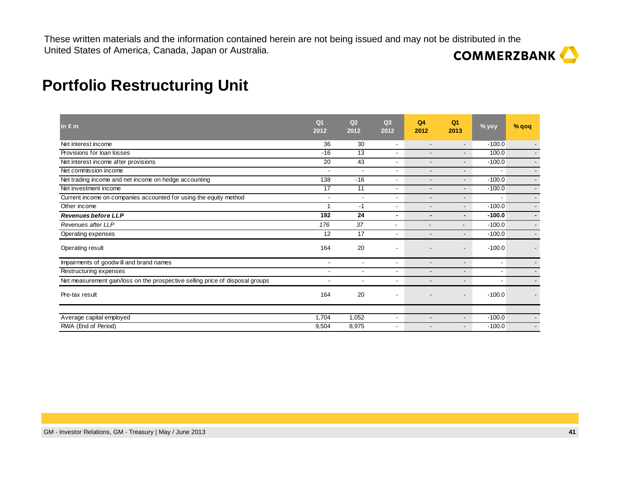| in $\epsilon$ m                                                               | Q <sub>1</sub><br>2012   | Q <sub>2</sub><br>2012   | Q <sub>3</sub><br>2012   | Q <sub>4</sub><br>2012   | Q <sub>1</sub><br>2013   | % yoy    | $%$ qoq                  |
|-------------------------------------------------------------------------------|--------------------------|--------------------------|--------------------------|--------------------------|--------------------------|----------|--------------------------|
| Net interest income                                                           | 36                       | 30                       | $\overline{\phantom{a}}$ |                          | $\overline{\phantom{0}}$ | $-100.0$ |                          |
| Provisions for loan losses                                                    | $-16$                    | 13                       | $\overline{\phantom{a}}$ |                          | $\overline{\phantom{0}}$ | 100.0    | $\overline{\phantom{a}}$ |
| Net interest income after provisions                                          | 20                       | 43                       | $\overline{\phantom{a}}$ |                          | $\overline{\phantom{0}}$ | $-100.0$ |                          |
| Net commission income                                                         | $\blacksquare$           | ÷,                       | $\blacksquare$           |                          | $\overline{\phantom{0}}$ |          | $\blacksquare$           |
| Net trading income and net income on hedge accounting                         | 138                      | $-16$                    | $\blacksquare$           |                          | $\overline{\phantom{0}}$ | $-100.0$ | $\overline{\phantom{a}}$ |
| Net investment income                                                         | 17                       | 11                       | ٠                        |                          | $\overline{\phantom{0}}$ | $-100.0$ | $\overline{\phantom{a}}$ |
| Current income on companies accounted for using the equity method             | $\overline{\phantom{a}}$ | $\overline{\phantom{a}}$ | ٠                        |                          | $\overline{\phantom{0}}$ |          | $\overline{\phantom{a}}$ |
| Other income                                                                  |                          | $-1$                     | $\overline{\phantom{a}}$ |                          | $\overline{\phantom{0}}$ | $-100.0$ | $\blacksquare$           |
| <b>Revenues before LLP</b>                                                    | 192                      | 24                       | $\blacksquare$           | $\blacksquare$           | $\blacksquare$           | $-100.0$ | $\blacksquare$           |
| Revenues after LLP                                                            | 176                      | 37                       | $\overline{\phantom{a}}$ |                          | $\overline{\phantom{0}}$ | $-100.0$ | $\overline{\phantom{a}}$ |
| Operating expenses                                                            | 12                       | 17                       | ٠                        | $\overline{\phantom{a}}$ | $\overline{\phantom{0}}$ | $-100.0$ | $\overline{\phantom{a}}$ |
| Operating result                                                              | 164                      | 20                       | ٠                        |                          | $\overline{\phantom{a}}$ | $-100.0$ |                          |
| Impairments of goodwill and brand names                                       | $\overline{\phantom{a}}$ | $\overline{\phantom{a}}$ | $\overline{\phantom{a}}$ |                          | $\overline{\phantom{a}}$ | ٠        |                          |
| Restructuring expenses                                                        | $\blacksquare$           | ٠                        | $\overline{\phantom{a}}$ |                          | $\overline{\phantom{0}}$ |          |                          |
| Net measurement gain/loss on the prospective selling price of disposal groups | $\overline{\phantom{a}}$ | $\overline{\phantom{a}}$ | ٠                        |                          | $\overline{\phantom{0}}$ |          |                          |
| Pre-tax result                                                                | 164                      | 20                       | $\overline{\phantom{a}}$ |                          | $\overline{\phantom{a}}$ | $-100.0$ |                          |
|                                                                               |                          |                          |                          |                          |                          |          |                          |
| Average capital employed                                                      | 1,704                    | 1,052                    | ٠                        |                          | $\overline{\phantom{0}}$ | $-100.0$ | $\overline{\phantom{a}}$ |
| RWA (End of Period)                                                           | 9,504                    | 8,975                    | ٠                        |                          |                          | $-100.0$ | $\overline{\phantom{a}}$ |

### **Portfolio Restructuring Unit**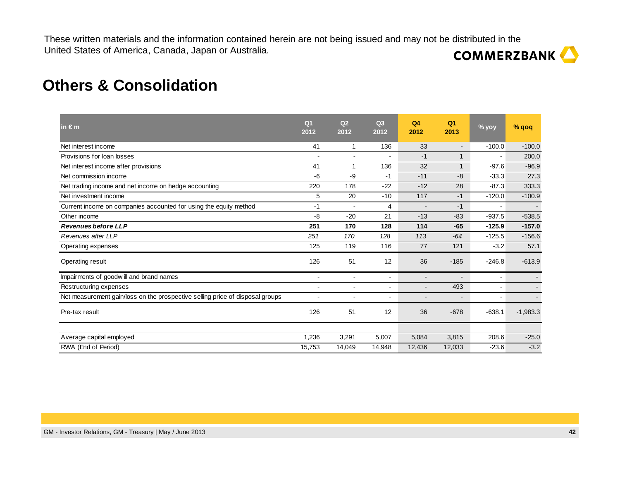### **Others & Consolidation**

| $\mathsf{in} \in \mathsf{m}$                                                  | Q <sub>1</sub><br>2012   | Q2<br>2012               | Q3<br>2012               | Q <sub>4</sub><br>2012   | Q <sub>1</sub><br>2013 | % yoy                    | % qoq      |
|-------------------------------------------------------------------------------|--------------------------|--------------------------|--------------------------|--------------------------|------------------------|--------------------------|------------|
| Net interest income                                                           | 41                       | 1                        | 136                      | 33                       | $\blacksquare$         | $-100.0$                 | $-100.0$   |
| Provisions for loan losses                                                    |                          |                          |                          | $-1$                     | $\mathbf{1}$           | $\blacksquare$           | 200.0      |
| Net interest income after provisions                                          | 41                       | 1                        | 136                      | 32                       | $\mathbf{1}$           | $-97.6$                  | $-96.9$    |
| Net commission income                                                         | $-6$                     | -9                       | $-1$                     | $-11$                    | -8                     | $-33.3$                  | 27.3       |
| Net trading income and net income on hedge accounting                         | 220                      | 178                      | $-22$                    | $-12$                    | 28                     | $-87.3$                  | 333.3      |
| Net investment income                                                         | 5                        | 20                       | $-10$                    | 117                      | $-1$                   | $-120.0$                 | $-100.9$   |
| Current income on companies accounted for using the equity method             | -1                       |                          | 4                        | $\overline{\phantom{a}}$ | $-1$                   | $\blacksquare$           |            |
| Other income                                                                  | $-8$                     | $-20$                    | 21                       | $-13$                    | $-83$                  | $-937.5$                 | $-538.5$   |
| <b>Revenues before LLP</b>                                                    | 251                      | 170                      | 128                      | 114                      | $-65$                  | $-125.9$                 | $-157.0$   |
| Revenues after LLP                                                            | 251                      | 170                      | 128                      | 113                      | $-64$                  | $-125.5$                 | $-156.6$   |
| Operating expenses                                                            | 125                      | 119                      | 116                      | 77                       | 121                    | $-3.2$                   | 57.1       |
| Operating result                                                              | 126                      | 51                       | 12                       | 36                       | $-185$                 | $-246.8$                 | $-613.9$   |
| Impairments of goodwill and brand names                                       | $\overline{\phantom{a}}$ | $\overline{\phantom{0}}$ | $\overline{\phantom{a}}$ | $\overline{a}$           | $\overline{a}$         | $\overline{\phantom{a}}$ |            |
| Restructuring expenses                                                        |                          |                          |                          |                          | 493                    | $\blacksquare$           |            |
| Net measurement gain/loss on the prospective selling price of disposal groups | $\blacksquare$           |                          | $\blacksquare$           |                          | $\blacksquare$         | ٠                        |            |
| Pre-tax result                                                                | 126                      | 51                       | 12                       | 36                       | $-678$                 | $-638.1$                 | $-1,983.3$ |
| Average capital employed                                                      | 1,236                    | 3,291                    | 5,007                    | 5,084                    | 3,815                  | 208.6                    | $-25.0$    |
| RWA (End of Period)                                                           | 15,753                   | 14,049                   | 14,948                   | 12,436                   | 12,033                 | $-23.6$                  | $-3.2$     |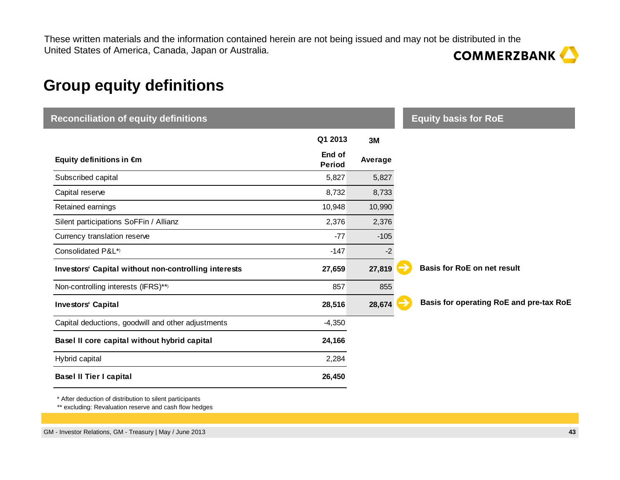# **Group equity definitions**

| <b>Reconciliation of equity definitions</b>          |                         |         | <b>Equity basis for RoE</b>             |
|------------------------------------------------------|-------------------------|---------|-----------------------------------------|
|                                                      | Q1 2013                 | 3M      |                                         |
| Equity definitions in €m                             | End of<br><b>Period</b> | Average |                                         |
| Subscribed capital                                   | 5,827                   | 5,827   |                                         |
| Capital reserve                                      | 8,732                   | 8,733   |                                         |
| Retained earnings                                    | 10,948                  | 10,990  |                                         |
| Silent participations SoFFin / Allianz               | 2,376                   | 2,376   |                                         |
| Currency translation reserve                         | $-77$                   | $-105$  |                                         |
| Consolidated P&L*)                                   | $-147$                  | $-2$    |                                         |
| Investors' Capital without non-controlling interests | 27,659                  | 27,819  | <b>Basis for RoE on net result</b>      |
| Non-controlling interests (IFRS)**)                  | 857                     | 855     |                                         |
| <b>Investors' Capital</b>                            | 28,516                  | 28,674  | Basis for operating RoE and pre-tax RoE |
| Capital deductions, goodwill and other adjustments   | $-4,350$                |         |                                         |
| Basel II core capital without hybrid capital         | 24,166                  |         |                                         |
| Hybrid capital                                       | 2,284                   |         |                                         |
| <b>Basel II Tier I capital</b>                       | 26,450                  |         |                                         |

\* After deduction of distribution to silent participants

\*\* excluding: Revaluation reserve and cash flow hedges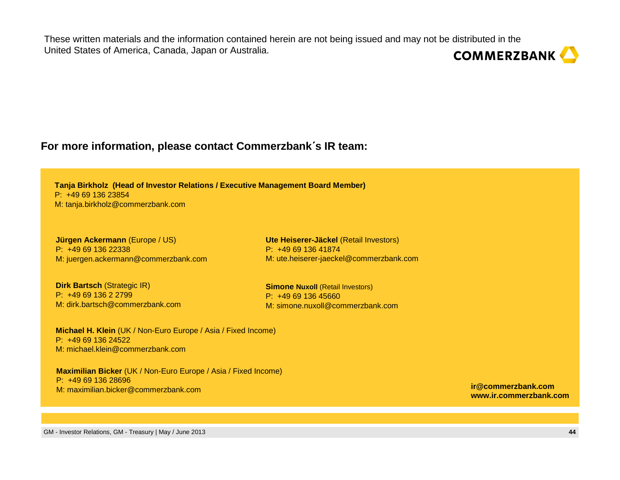#### **For more information, please contact Commerzbank**´**<sup>s</sup> IR team:**

**Tanja Birkholz (Head of Investor Relations / Executive Management Board Member)**P: +49 69 136 23854M: tanja.birkholz@commerzbank.com

**Jürgen Ackermann** (Europe / US)P: +49 69 136 22338M: juergen.ackermann@commerzbank.com

**Dirk Bartsch** (Strategic IR)P: +49 69 136 2 2799 M: dirk.bartsch@commerzbank.com

**Ute Heiserer-Jäckel** (Retail Investors)P: +49 69 136 41874M: ute.heiserer-jaeckel@commerzbank.com

**Simone Nuxoll (Retail Investors)** P: +49 69 136 45660M: simone.nuxoll@commerzbank.com

**Michael H. Klein** (UK / Non-Euro Europe / Asia / Fixed Income)P: +49 69 136 24522M: michael.klein@commerzbank.com

**Maximilian Bicker** (UK / Non-Euro Europe / Asia / Fixed Income)P: +49 69 136 28696M: maximilian.bicker@commerzbank.com

**ir@commerzbank.comwww.ir.commerzbank.com**